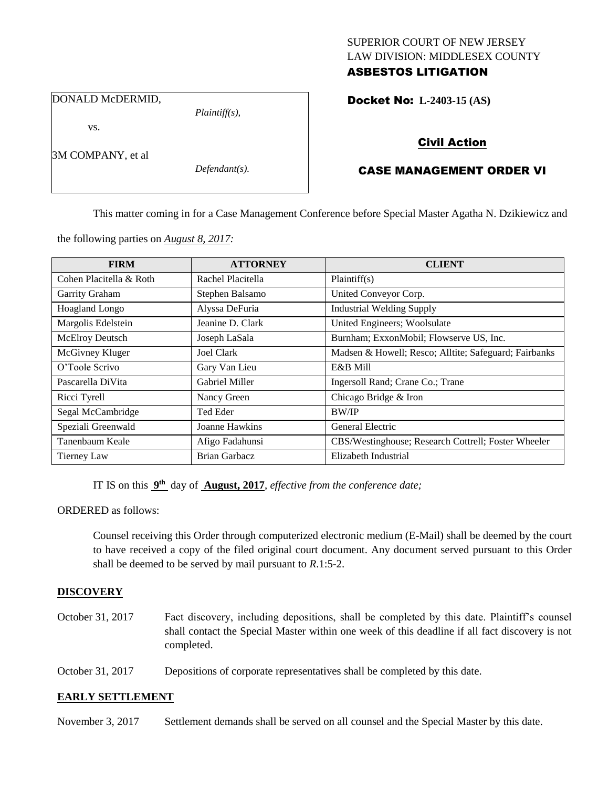## SUPERIOR COURT OF NEW JERSEY LAW DIVISION: MIDDLESEX COUNTY ASBESTOS LITIGATION

DONALD McDERMID,

vs.

3M COMPANY, et al

*Defendant(s).*

*Plaintiff(s),*

Docket No: **L-2403-15 (AS)** 

# Civil Action

# CASE MANAGEMENT ORDER VI

This matter coming in for a Case Management Conference before Special Master Agatha N. Dzikiewicz and

the following parties on *August 8, 2017:*

| <b>FIRM</b>             | <b>ATTORNEY</b>       | <b>CLIENT</b>                                         |
|-------------------------|-----------------------|-------------------------------------------------------|
| Cohen Placitella & Roth | Rachel Placitella     | Plaintiff(s)                                          |
| Garrity Graham          | Stephen Balsamo       | United Conveyor Corp.                                 |
| Hoagland Longo          | Alyssa DeFuria        | <b>Industrial Welding Supply</b>                      |
| Margolis Edelstein      | Jeanine D. Clark      | United Engineers; Woolsulate                          |
| McElroy Deutsch         | Joseph LaSala         | Burnham; ExxonMobil; Flowserve US, Inc.               |
| McGivney Kluger         | <b>Joel Clark</b>     | Madsen & Howell; Resco; Alltite; Safeguard; Fairbanks |
| O'Toole Scrivo          | Gary Van Lieu         | E&B Mill                                              |
| Pascarella DiVita       | <b>Gabriel Miller</b> | Ingersoll Rand; Crane Co.; Trane                      |
| Ricci Tyrell            | Nancy Green           | Chicago Bridge & Iron                                 |
| Segal McCambridge       | Ted Eder              | <b>BW/IP</b>                                          |
| Speziali Greenwald      | Joanne Hawkins        | General Electric                                      |
| Tanenbaum Keale         | Afigo Fadahunsi       | CBS/Westinghouse; Research Cottrell; Foster Wheeler   |
| <b>Tierney Law</b>      | <b>Brian Garbacz</b>  | Elizabeth Industrial                                  |

IT IS on this  $9<sup>th</sup>$  day of **August, 2017**, *effective from the conference date*;

ORDERED as follows:

Counsel receiving this Order through computerized electronic medium (E-Mail) shall be deemed by the court to have received a copy of the filed original court document. Any document served pursuant to this Order shall be deemed to be served by mail pursuant to *R*.1:5-2.

## **DISCOVERY**

October 31, 2017 Fact discovery, including depositions, shall be completed by this date. Plaintiff's counsel shall contact the Special Master within one week of this deadline if all fact discovery is not completed.

October 31, 2017 Depositions of corporate representatives shall be completed by this date.

## **EARLY SETTLEMENT**

November 3, 2017 Settlement demands shall be served on all counsel and the Special Master by this date.